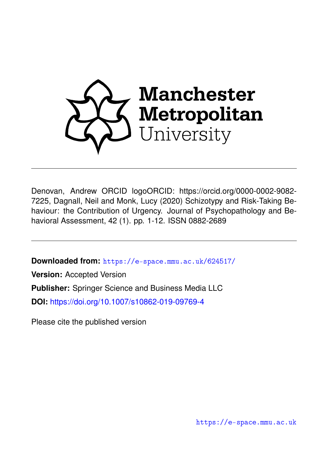

Denovan, Andrew ORCID logoORCID: https://orcid.org/0000-0002-9082- 7225, Dagnall, Neil and Monk, Lucy (2020) Schizotypy and Risk-Taking Behaviour: the Contribution of Urgency. Journal of Psychopathology and Behavioral Assessment, 42 (1). pp. 1-12. ISSN 0882-2689

**Downloaded from:** <https://e-space.mmu.ac.uk/624517/>

**Version:** Accepted Version

**Publisher:** Springer Science and Business Media LLC

**DOI:** <https://doi.org/10.1007/s10862-019-09769-4>

Please cite the published version

<https://e-space.mmu.ac.uk>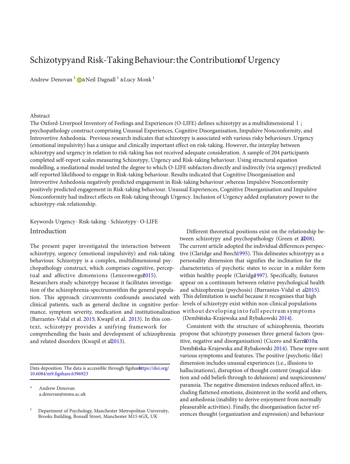# Schizotypy and Risk-Taking Behaviour: the Contribution GU Urgency

Andrew Denovan<sup>1</sup> D&Neil Dagnall<sup>1</sup> &Lucy Monk<sup>1</sup>

#### Abstract

The Oxford-Liverpool Inventory of Feelings and Experiences (O-LIFE) defines schizotypy as a multidimensional l ; psychopathology construct comprising Unusual Experiences, Cognitive Disorganisation, Impulsive Nonconformity, and Introvertive Anhedonia. Previous research indicates that schizotypy is associated with various risky behaviours .Urgency (emotional impulsivity) has a unique and clinically important effect on risk-taking. However, the interplay between schizotypy and urgency in relation to risk-taking has not received adequate consideration. A sample of 204 participants completed self-report scales measuring Schizotypy, Urgency and Risk-taking behaviour. Using structural equation modelling, a mediational model tested the degree to which O-LIFE subfactors directly and indirectly (via urgency) predicted self-reported likelihood to engage in Risk-taking behaviour. Results indicated that Cognitive Disorganisation and Introvertive Anhedonia negatively predicted engagement in Risk-taking behaviour ,whereas Impulsive Nonconformity positively predicted engagement in Risk-taking behaviour. Unusual Experiences, Cognitive Disorganisation and Impulsive Nonconformity had indirect effects on Risk-taking through Urgency. Inclusion of Urgency added explanatory power to the schizotypy-risk relationship.

# Keywords Urgency . Risk-taking . Schizotypy . O-LIFE

schizotypy, urgency (emotional impulsivity) and risk-taking behaviour. Schizotypy is a complex, multidimensional psychopathology construct, which comprises cognitive, perceptual and affective dimensions (Lenzenweg[e2015](#page-11-0)). Researchers study schizotypy because it facilitates investigation of the schizophrenia-spectrumwithin the general popula- and schizophrenia (psychosis) (Barrantes-Vidal et al2015). tion. This approach circumvents confounds associated with clinical patients, such as general decline in cognitive performance, symptom severity, medication and institutionalization (Barrantes-Vidal et al. [2015;](#page-10-0) Kwapil et al. [2013](#page-11-0)). In this context, schizotypy provides a unifying framework for comprehending the basis and development of schizophrenia and related disorders (Kwapil et al2013).

Data deposition The data is accessible through figsharettps://doi.org/ [10.6084/m9.figshare.6396923](https://doi.org/10.6084/m9.figshare.6396923)

Andrew Denovan [a.denovan@mmu.ac.uk](mailto:a.denovan@mmu.ac.uk)

Introduction Different theoretical positions exist on the relationship between schizotypy and psychopathology (Green et  $2D08$ ). The present paper investigated the interaction between The current article adopted the individual differences perspective (Claridge and Beec[h1995\)](#page-10-0). This delineates schizotypy as a personality dimension that signifies the inclination for the characteristics of psychotic states to occur in a milder form within healthy people (Claridge<sup>1997</sup>). Specifically, features appear on a continuum between relative psychological health This delimitation is useful because it recognises that high levels of schizotypy exist within non-clinical populations without developing into full spectrum symptoms (Dembińska-Krajewska and Rybakowski [2014\)](#page-11-0).

> Consistent with the structure of schizophrenia, theorists propose that schizotypy possesses three general factors (positive, negative and disorganisation) (Cicero and Kern<sup>2010a</sup>; Dembińska-Krajewska and Rybakowski [2014](#page-11-0)). These repre-sent various symptoms and features. The positive (psychotic-like) dimension includes unusual experiences (i.e., illusions to hallucinations), disruption of thought content (magical ideation and odd beliefs through to delusions) and suspiciousness/ paranoia. The negative dimension indexes reduced affect, including flattened emotions, disinterest in the world and others, and anhedonia (inability to derive enjoyment from normally pleasurable activities). Finally, the disorganisation factor references thought (organization and expression) and behaviour

Department of Psychology, Manchester Metropolitan University, Brooks Building, Bonsall Street, Manchester M15 6GX, UK 1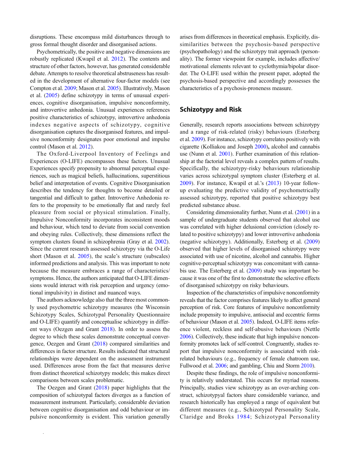disruptions. These encompass mild disturbances through to gross formal thought disorder and disorganised actions.

Psychometrically, the positive and negative dimensions are robustly replicated (Kwapil et al. [2012\)](#page-11-0). The contents and structure of other factors, however, has generated considerable debate. Attempts to resolve theoretical abstruseness has resulted in the development of alternative four-factor models (see Compton et al. [2009](#page-10-0); Mason et al. [2005](#page-11-0)). Illustratively, Mason et al. [\(2005\)](#page-11-0) define schizotypy in terms of unusual experiences, cognitive disorganisation, impulsive nonconformity, and introvertive anhedonia. Unusual experiences references positive characteristics of schizotypy, introvertive anhedonia indexes negative aspects of schizotypy, cognitive disorganisation captures the disorganised features, and impulsive nonconformity designates poor emotional and impulse control (Mason et al. [2012](#page-11-0)).

The Oxford-Liverpool Inventory of Feelings and Experiences (O-LIFE) encompasses these factors. Unusual Experiences specify propensity to abnormal perceptual experiences, such as magical beliefs, hallucinations, superstitious belief and interpretation of events. Cognitive Disorganisation describes the tendency for thoughts to become detailed or tangential and difficult to gather. Introvertive Anhedonia refers to the propensity to be emotionally flat and rarely feel pleasure from social or physical stimulation. Finally, Impulsive Nonconformity incorporates inconsistent moods and behaviour, which tend to deviate from social convention and obeying rules. Collectively, these dimensions reflect the symptom clusters found in schizophrenia (Gray et al. [2002\)](#page-11-0). Since the current research assessed schizotypy via the O-Life short (Mason et al. [2005](#page-11-0)), the scale's structure (subscales) informed predictions and analysis. This was important to note because the measure embraces a range of characteristics/ symptoms. Hence, the authors anticipated that O-LIFE dimensions would interact with risk perception and urgency (emotional impulsivity) in distinct and nuanced ways.

The authors acknowledge also that the three most commonly used psychometric schizotypy measures (the Wisconsin Schizotypy Scales, Schizotypal Personality Questionnaire and O-LIFE) quantify and conceptualise schizotypy in different ways (Oezgen and Grant [2018](#page-12-0)). In order to assess the degree to which these scales demonstrate conceptual convergence, Oezgen and Grant [\(2018\)](#page-12-0) compared similarities and differences in factor structure. Results indicated that structural relationships were dependent on the assessment instrument used. Differences arose from the fact that measures derive from distinct theoretical schizotypy models; this makes direct comparisons between scales problematic.

The Oezgen and Grant ([2018\)](#page-12-0) paper highlights that the composition of schizotypal factors diverges as a function of measurement instrument. Particularly, considerable deviation between cognitive disorganisation and odd behaviour or impulsive nonconformity is evident. This variation generally

arises from differences in theoretical emphasis. Explicitly, dissimilarities between the psychosis-based perspective (psychopathology) and the schizotypy trait approach (personality). The former viewpoint for example, includes affective/ motivational elements relevant to cyclothymia/bipolar disorder. The O-LIFE used within the present paper, adopted the psychosis-based perspective and accordingly possesses the characteristics of a psychosis-proneness measure.

## Schizotypy and Risk

Generally, research reports associations between schizotypy and a range of risk-related (risky) behaviours (Esterberg et al. [2009\)](#page-11-0). For instance, schizotypy correlates positively with cigarette (Kolliakou and Joseph [2000](#page-11-0)), alcohol and cannabis use (Nunn et al. [2001](#page-12-0)). Further examination of this relationship at the factorial level reveals a complex pattern of results. Specifically, the schizotypy-risky behaviours relationship varies across schizotypal symptom cluster (Esterberg et al. [2009\)](#page-11-0). For instance, Kwapil et al.'s ([2013](#page-11-0)) 10-year followup evaluating the predictive validity of psychometrically assessed schizotypy, reported that positive schizotypy best predicted substance abuse.

Considering dimensionality further, Nunn et al. [\(2001\)](#page-12-0) in a sample of undergraduate students observed that alcohol use was correlated with higher delusional conviction (closely related to positive schizotypy) and lower introvertive anhedonia (negative schizotypy). Additionally, Esterberg et al. [\(2009](#page-11-0)) observed that higher levels of disorganised schizotypy were associated with use of nicotine, alcohol and cannabis. Higher cognitive-perceptual schizotypy was concomitant with cannabis use. The Esterberg et al. ([2009](#page-11-0)) study was important because it was one of the first to demonstrate the selective effects of disorganised schizotypy on risky behaviours.

Inspection of the characteristics of impulsive nonconformity reveals that the factor comprises features likely to affect general perception of risk. Core features of impulsive nonconformity include propensity to impulsive, antisocial and eccentric forms of behaviour (Mason et al. [2005](#page-11-0)). Indeed, O-LIFE items reference violent, reckless and self-abusive behaviours (Nettle [2006](#page-12-0)). Collectively, these indicate that high impulsive nonconformity promotes lack of self-control. Congruently, studies report that impulsive nonconformity is associated with riskrelated behaviours (e.g., frequency of female chatroom use, Fullwood et al. [2006;](#page-11-0) and gambling, Chiu and Storm [2010](#page-10-0)).

Despite these findings, the role of impulsive nonconformity is relatively understated. This occurs for myriad reasons. Principally, studies view schizotypy as an over-arching construct, schizotypyal factors share considerable variance, and research historically has employed a range of equivalent but different measures (e.g., Schizotypal Personality Scale, Claridge and Broks [1984;](#page-10-0) Schizotypal Personality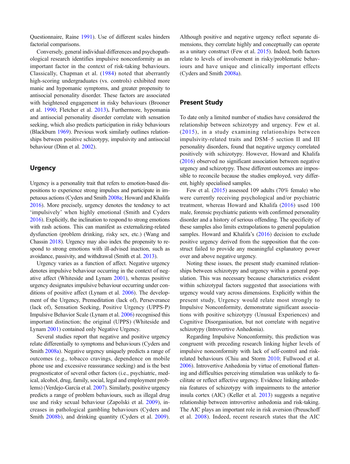Questionnaire, Raine [1991](#page-12-0)). Use of different scales hinders factorial comparisons.

Conversely, general individual differences and psychopathological research identifies impulsive nonconformity as an important factor in the context of risk-taking behaviours. Classically, Chapman et al. ([1984](#page-10-0)) noted that aberrantly high-scoring undergraduates (vs. controls) exhibited more manic and hypomanic symptoms, and greater propensity to antisocial personality disorder. These factors are associated with heightened engagement in risky behaviours (Brooner et al. [1990;](#page-10-0) Fletcher et al. [2013\)](#page-11-0). Furthermore, hypomania and antisocial personality disorder correlate with sensation seeking, which also predicts participation in risky behaviours (Blackburn [1969](#page-10-0)). Previous work similarly outlines relationships between positive schizotypy, impulsivity and antisocial behaviour (Dinn et al. [2002\)](#page-11-0).

# **Urgency**

Urgency is a personality trait that refers to emotion-based dispositions to experience strong impulses and participate in impetuous actions (Cyders and Smith [2008a](#page-10-0); Howard and Khalifa [2016\)](#page-11-0). More precisely, urgency denotes the tendency to act 'impulsively' when highly emotional (Smith and Cyders [2016](#page-12-0)). Explicitly, the inclination to respond to strong emotions with rash actions. This can manifest as externalizing-related dysfunction (problem drinking, risky sex, etc.) (Wang and Chassin [2018\)](#page-12-0). Urgency may also index the propensity to respond to strong emotions with ill-advised inaction, such as avoidance, passivity, and withdrawal (Smith et al. [2013](#page-12-0)).

Urgency varies as a function of affect. Negative urgency denotes impulsive behaviour occurring in the context of negative affect (Whiteside and Lynam [2001\)](#page-12-0), whereas positive urgency designates impulsive behaviour occurring under conditions of positive affect (Lynam et al. [2006\)](#page-11-0). The development of the Urgency, Premeditation (lack of), Perseverance (lack of), Sensation Seeking, Positive Urgency (UPPS-P) Impulsive Behavior Scale (Lynam et al. [2006\)](#page-11-0) recognised this important distinction; the original (UPPS) (Whiteside and Lynam [2001](#page-12-0)) contained only Negative Urgency.

Several studies report that negative and positive urgency relate differentially to symptoms and behaviours (Cyders and Smith [2008a\)](#page-10-0). Negative urgency uniquely predicts a range of outcomes (e.g., tobacco cravings, dependence on mobile phone use and excessive reassurance seeking) and is the best prognosticator of several other factors (i.e., psychiatric, medical, alcohol, drug, family, social, legal and employment problems) (Verdejo-García et al. [2007](#page-12-0)). Similarly, positive urgency predicts a range of problem behaviours, such as illegal drug use and risky sexual behaviour (Zapolski et al. [2009\)](#page-12-0), increases in pathological gambling behaviours (Cyders and Smith [2008b](#page-10-0)), and drinking quantity (Cyders et al. [2009](#page-10-0)).

Although positive and negative urgency reflect separate dimensions, they correlate highly and conceptually can operate as a unitary construct (Few et al. [2015\)](#page-11-0). Indeed, both factors relate to levels of involvement in risky/problematic behaviours and have unique and clinically important effects (Cyders and Smith [2008a\)](#page-10-0).

# Present Study

To date only a limited number of studies have considered the relationship between schizotypy and urgency. Few et al. ([2015](#page-11-0)), in a study examining relationships between impulsivity-related traits and DSM–5 section II and III personality disorders, found that negative urgency correlated positively with schizotypy. However, Howard and Khalifa [\(2016\)](#page-11-0) observed no significant association between negative urgency and schizotypy. These different outcomes are impossible to reconcile because the studies employed, very different, highly specialised samples.

Few et al. ([2015](#page-11-0)) assessed 109 adults (70% female) who were currently receiving psychological and/or psychiatric treatment, whereas Howard and Khalifa [\(2016\)](#page-11-0) used 100 male, forensic psychiatric patients with confirmed personality disorder and a history of serious offending. The specificity of these samples also limits extrapolations to general population samples. Howard and Khalifa's ([2016](#page-11-0)) decision to exclude positive urgency derived from the supposition that the construct failed to provide any meaningful explanatory power over and above negative urgency.

Noting these issues, the present study examined relationships between schizotypy and urgency within a general population. This was necessary because characteristics evident within schizotypal factors suggested that associations with urgency would vary across dimensions. Explicitly within the present study, Urgency would relate most strongly to Impulsive Nonconformity, demonstrate significant associations with positive schizotypy (Unusual Experiences) and Cognitive Disorganisation, but not correlate with negative schizotypy (Introvertive Anhedonia).

Regarding Impulsive Nonconformity, this prediction was congruent with preceding research linking higher levels of impulsive nonconformity with lack of self-control and riskrelated behaviours (Chiu and Storm [2010;](#page-10-0) Fullwood et al. [2006\)](#page-11-0). Introvertive Anhedonia by virtue of emotional flattening and difficulties perceiving stimulation was unlikely to facilitate or reflect affective urgency. Evidence linking anhedonia features of schizotypy with impairments to the anterior insula cortex (AIC) (Keller et al. [2013\)](#page-11-0) suggests a negative relationship between introvertive anhedonia and risk-taking. The AIC plays an important role in risk aversion (Preuschoff et al. [2008](#page-12-0)). Indeed, recent research states that the AIC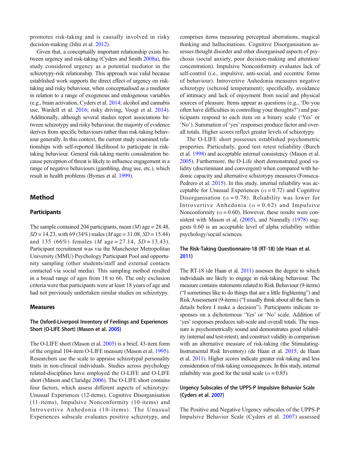promotes risk-taking and is causally involved in risky decision-making (Ishii et al. [2012\)](#page-11-0).

Given that, a conceptually important relationship exists between urgency and risk-taking (Cyders and Smith [2008a](#page-10-0)), this study considered urgency as a potential mediator in the schizotypy-risk relationship. This approach was valid because established work supports the direct effect of urgency on risktaking and risky behaviour, when conceptualised as a mediator in relation to a range of exogenous and endogenous variables (e.g., brain activation, Cyders et al. [2014;](#page-11-0) alcohol and cannabis use, Wardell et al. [2016](#page-12-0); risky driving, Voogt et al. [2014](#page-12-0)). Additionally, although several studies report associations between schizotypy and risky behaviour, the majority of evidence derives from specific behaviours rather than risk-taking behaviour generally. In this context, the current study examined relationships with self-reported likelihood to participate in risktaking behaviour. General risk-taking merits consideration because perception of threat is likely to influence engagement in a range of negative behaviours (gambling, drug use, etc.), which result in health problems (Byrnes et al. [1999](#page-10-0)).

#### Method

#### **Participants**

The sample contained 204 participants, mean  $(M)$  age = 28.48,  $SD = 14.23$ , with 69 (34%) males (*M* age = 31.08, *SD* = 15.44) and 135 (66%) females (*M* age = 27.14, *SD* = 13.43). Participant recruitment was via the Manchester Metropolitan University (MMU) Psychology Participant Pool and opportunity sampling (other students/staff and external contacts contacted via social media). This sampling method resulted in a broad range of ages from 18 to 66. The only exclusion criteria were that participants were at least 18 years of age and had not previously undertaken similar studies on schizotypy.

#### Measures

#### The Oxford-Liverpool Inventory of Feelings and Experiences Short (O-LIFE Short) (Mason et al. [2005\)](#page-11-0)

The O-LIFE short (Mason et al. [2005\)](#page-11-0) is a brief, 43-item form of the original 104-item O-LIFE measure (Mason et al. [1995\)](#page-11-0). Researchers use the scale to appraise schizotypal personality traits in non-clinical individuals. Studies across psychology related-disciplines have employed the O-LIFE and O-LIFE short (Mason and Claridge [2006\)](#page-11-0). The O-LIFE short contains four factors, which assess different aspects of schizotypy: Unusual Experiences (12-items), Cognitive Disorganisation (11-items), Impulsive Nonconformity (10-items) and Introvertive Anhedonia (10-items). The Unusual Experiences subscale evaluates positive schizotypy, and comprises items measuring perceptual aberrations, magical thinking and hallucinations. Cognitive Disorganisation assesses thought disorder and other disorganised aspects of psychosis (social anxiety, poor decision-making and attention/ concentration). Impulsive Nonconformity evaluates lack of self-control (i.e., impulsive, anti-social, and eccentric forms of behaviour). Introvertive Anhedonia measures negative schizotypy (schizoid temperament); specifically, avoidance of intimacy and lack of enjoyment from social and physical sources of pleasure. Items appear as questions (e.g., 'Do you often have difficulties in controlling your thoughts?') and participants respond to each item on a binary scale ('Yes' or 'No'). Summation of 'yes' responses produce factor and overall totals. Higher scores reflect greater levels of schizotypy.

The O-LIFE short possesses established psychometric properties. Particularly, good test–retest reliability (Burch et al. [1998](#page-10-0)) and acceptable internal consistency (Mason et al. [2005\)](#page-11-0). Furthermore, the O-Life short demonstrated good validity (discriminant and convergent) when compared with hedonic capacity and alternative schizotypy measures (Fonseca-Pedrero et al. [2015\)](#page-11-0). In this study, internal reliability was acceptable for Unusual Experiences ( $\alpha$  = 0.72) and Cognitive Disorganisation ( $\alpha = 0.78$ ). Reliability was lower for Introvertive Anhedonia ( $\alpha = 0.62$ ) and Impulsive Nonconformity ( $\alpha$  = 0.60). However, these results were con-sistent with Mason et al. ([2005](#page-11-0)), and Nunnally [\(1978\)](#page-12-0) suggests 0.60 is an acceptable level of alpha reliability within psychology/social sciences.

## The Risk-Taking Questionnaire-18 (RT-18) (de Haan et al. [2011](#page-11-0))

The RT-18 (de Haan et al. [2011\)](#page-11-0) assesses the degree to which individuals are likely to engage in risk-taking behaviour. The measure contains statements related to Risk Behaviour (9-items) ("I sometimes like to do things that are a little frightening") and Risk Assessment (9-items) ("I usually think about all the facts in details before I make a decision"). Participants indicate responses on a dichotomous 'Yes' or 'No' scale. Addition of 'yes' responses produces sub-scale and overall totals. The measure is psychometrically sound and demonstrates good reliability (internal and test-retest), and construct validity in comparison with an alternative measure of risk-taking (the Stimulating-Instrumental Risk Inventory) (de Haan et al. [2015;](#page-11-0) de Haan et al. [2011](#page-11-0)). Higher scores indicate greater risk-taking and less consideration of risk-taking consequences. In this study, internal reliability was good for the total scale ( $\alpha$  = 0.85).

#### Urgency Subscales of the UPPS-P Impulsive Behavior Scale (Cyders et al. [2007\)](#page-10-0)

The Positive and Negative Urgency subscales of the UPPS-P Impulsive Behavior Scale (Cyders et al. [2007](#page-10-0)) assessed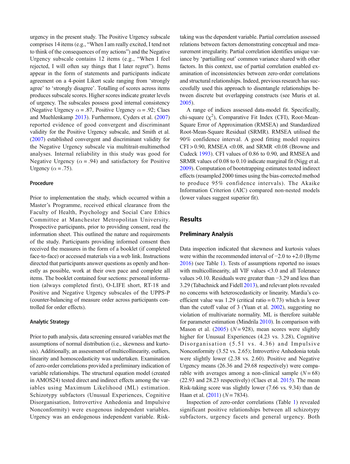urgency in the present study. The Positive Urgency subscale comprises 14 items (e.g., "When I am really excited, I tend not to think of the consequences of my actions") and the Negative Urgency subscale contains 12 items (e.g., "When I feel rejected, I will often say things that I later regret"). Items appear in the form of statements and participants indicate agreement on a 4-point Likert scale ranging from 'strongly agree' to 'strongly disagree'. Totalling of scores across items produces subscale scores. Higher scores indicate greater levels of urgency. The subscales possess good internal consistency (Negative Urgency  $\alpha = .87$ , Positive Urgency  $\alpha = .92$ ; Claes and Muehlenkamp [2013](#page-10-0)). Furthermore, Cyders et al. [\(2007\)](#page-10-0) reported evidence of good convergent and discriminant validity for the Positive Urgency subscale, and Smith et al. [\(2007\)](#page-12-0) established convergent and discriminant validity for the Negative Urgency subscale via multitrait-multimethod analyses. Internal reliability in this study was good for Negative Urgency ( $\alpha$  = .94) and satisfactory for Positive Urgency ( $\alpha$  = .75).

#### Procedure

Prior to implementation the study, which occurred within a Master's Programme, received ethical clearance from the Faculty of Health, Psychology and Social Care Ethics Committee at Manchester Metropolitan University. Prospective participants, prior to providing consent, read the information sheet. This outlined the nature and requirements of the study. Participants providing informed consent then received the measures in the form of a booklet (if completed face-to-face) or accessed materials via a web link. Instructions directed that participants answer questions as openly and honestly as possible, work at their own pace and complete all items. The booklet contained four sections: personal information (always completed first), O-LIFE short, RT-18 and Positive and Negative Urgency subscales of the UPPS-P (counter-balancing of measure order across participants controlled for order effects).

#### Analytic Strategy

Prior to path analysis, data screening ensured variables met the assumptions of normal distribution (i.e., skewness and kurtosis). Additionally, an assessment of multicollinearity, outliers, linearity and homoscedasticity was undertaken. Examination of zero-order correlations provided a preliminary indication of variable relationships. The structural equation model (created in AMOS24) tested direct and indirect effects among the variables using Maximum Likelihood (ML) estimation. Schizotypy subfactors (Unusual Experiences, Cognitive Disorganisation, Introvertive Anhedonia and Impulsive Nonconformity) were exogenous independent variables. Urgency was an endogenous independent variable. Risktaking was the dependent variable. Partial correlation assessed relations between factors demonstrating conceptual and measurement irregularity. Partial correlation identifies unique variance by 'partialling out' common variance shared with other factors. In this context, use of partial correlation enabled examination of inconsistencies between zero-order correlations and structural relationships. Indeed, previous research has successfully used this approach to disentangle relationships between discrete but overlapping constructs (see Muris et al. [2005\)](#page-12-0).

A range of indices assessed data-model fit. Specifically, chi-square  $(\chi^2)$ , Comparative Fit Index (CFI), Root-Mean-Square Error of Approximation (RMSEA) and Standardized Root-Mean-Square Residual (SRMR). RMSEA utilised the 90% confidence interval. A good fitting model requires  $CFI > 0.90$ , RMSEA < $0.08$ , and SRMR < $0.08$  (Browne and Cudeck [1993](#page-10-0)). CFI values of 0.86 to 0.90, and RMSEA and SRMR values of 0.08 to 0.10 indicate marginal fit (Nigg et al. [2009\)](#page-12-0). Computation of bootstrapping estimates tested indirect effects (resampled 2000 times using the bias-corrected method to produce 95% confidence intervals). The Akaike Information Criterion (AIC) compared non-nested models (lower values suggest superior fit).

#### Results

#### Preliminary Analysis

Data inspection indicated that skewness and kurtosis values were within the recommended interval of −2.0 to +2.0 (Byrne [2016\)](#page-10-0) (see Table [1\)](#page-6-0). Tests of assumptions reported no issues with multicollinearity, all VIF values <3.0 and all Tolerance values >0.10. Residuals were greater than −3.29 and less than 3.29 (Tabachnick and Fidell [2013\)](#page-12-0), and relevant plots revealed no concerns with heteroscedasticity or linearity. Mardia's coefficient value was 1.29 (critical ratio =  $0.73$ ) which is lower than the cutoff value of 3 (Yuan et al. [2002\)](#page-12-0), suggesting no violation of multivariate normality. ML is therefore suitable for parameter estimation (Mindrila [2010](#page-12-0)). In comparison with Mason et al.  $(2005)$  $(2005)$  (N = 928), mean scores were slightly higher for Unusual Experiences (4.23 vs. 3.28), Cognitive Disorganisation (5.51 vs. 4.36) and Impulsive Nonconformity (3.52 vs. 2.65); Introvertive Anhedonia totals were slightly lower (2.38 vs. 2.60). Positive and Negative Urgency means (26.36 and 29.68 respectively) were comparable with averages among a non-clinical sample  $(N = 68)$ (22.93 and 28.23 respectively) (Claes et al. [2015\)](#page-10-0). The mean Risk-taking score was slightly lower (7.66 vs. 9.34) than de Haan et al.  $(2011)$  $(2011)$   $(N = 7834)$ .

Inspection of zero-order correlations (Table [1\)](#page-6-0) revealed significant positive relationships between all schizotypy subfactors, urgency facets and general urgency. Both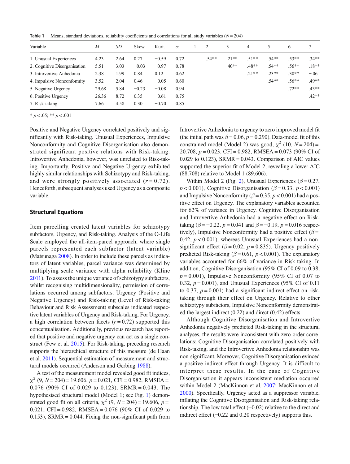<span id="page-6-0"></span>**Table 1** Means, standard deviations, reliability coefficients and correlations for all study variables  $(N = 204)$ 

| Variable                     | $\overline{M}$ | SD   | <b>Skew</b> | Kurt.   | $\alpha$ | 2       | 3       | 4       | 5       | 6       |         |
|------------------------------|----------------|------|-------------|---------|----------|---------|---------|---------|---------|---------|---------|
| 1. Unusual Experiences       | 4.23           | 2.64 | 0.27        | $-0.59$ | 0.72     | $.54**$ | $.21**$ | $.51**$ | $.54**$ | $.53**$ | $.34**$ |
| 2. Cognitive Disorganisation | 5.51           | 3.03 | $-0.03$     | $-0.97$ | 0.78     |         | $.40**$ | $.48**$ | $.54**$ | $.56**$ | $.18**$ |
| 3. Introvertive Anhedonia    | 2.38           | 1.99 | 0.84        | 0.12    | 0.62     |         |         | $.21**$ | $.23**$ | $.30**$ | $-.06$  |
| 4. Impulsive Nonconformity   | 3.52           | 2.04 | 0.46        | $-0.05$ | 0.60     |         |         |         | $.54**$ | $.56**$ | .49**   |
| 5. Negative Urgency          | 29.68          | 5.84 | $-0.23$     | $-0.08$ | 0.94     |         |         |         |         | $.72**$ | $.43**$ |
| 6. Positive Urgency          | 26.36          | 8.72 | 0.35        | $-0.61$ | 0.75     |         |         |         |         |         | $.42**$ |
| 7. Risk-taking               | 7.66           | 4.58 | 0.30        | $-0.70$ | 0.85     |         |         |         |         |         |         |

 $* p < .05; ** p < .001$ 

Positive and Negative Urgency correlated positively and significantly with Risk-taking. Unusual Experiences, Impulsive Nonconformity and Cognitive Disorganisation also demonstrated significant positive relations with Risk-taking. Introvertive Anhedonia, however, was unrelated to Risk-taking. Importantly, Positive and Negative Urgency exhibited highly similar relationships with Schizotypy and Risk-taking, and were strongly positively associated  $(r = 0.72)$ . Henceforth, subsequent analyses used Urgency as a composite variable.

#### Structural Equations

Item parcelling created latent variables for schizotypy subfactors, Urgency, and Risk-taking. Analysis of the O-Life Scale employed the all-item-parcel approach, where single parcels represented each subfactor (latent variable) (Matsunaga [2008\)](#page-11-0). In order to include these parcels as indicators of latent variables, parcel variance was determined by multiplying scale variance with alpha reliability (Kline [2011](#page-11-0)). To assess the unique variance of schizotypy subfactors, whilst recognising multidimensionality, permission of correlations occurred among subfactors. Urgency (Positive and Negative Urgency) and Risk-taking (Level of Risk-taking Behaviour and Risk Assessment) subscales indicated respective latent variables of Urgency and Risk-taking. For Urgency, a high correlation between facets  $(r = 0.72)$  supported this conceptualisation. Additionally, previous research has reported that positive and negative urgency can act as a single construct (Few et al. [2015](#page-11-0)). For Risk-taking, preceding research supports the hierarchical structure of this measure (de Haan et al. [2011\)](#page-11-0). Sequential estimation of measurement and structural models occurred (Anderson and Gerbing [1988\)](#page-10-0).

A test of the measurement model revealed good fit indices,  $\chi^2$  (9, N = 204) = 19.606, p = 0.021, CFI = 0.982, RMSEA = 0.076 (90% CI of 0.029 to 0.123), SRMR = 0.043. The hypothesised structural model (Model 1; see Fig. [1](#page-7-0)) demonstrated good fit on all criteria,  $\chi^2$  (9, N = 204) = 19.606, p = 0.021, CFI = 0.982, RMSEA = 0.076 (90% CI of 0.029 to 0.153), SRMR =  $0.044$ . Fixing the non-significant path from Introvertive Anhedonia to urgency to zero improved model fit (the initial path was  $\beta = 0.06$ ,  $p = 0.290$ ). Data-model fit of this constrained model (Model 2) was good,  $\chi^2$  (10,  $N = 204$ ) = 20.708,  $p = 0.023$ , CFI = 0.982, RMSEA = 0.073 (90% CI of 0.029 to 0.123), SRMR =  $0.043$ . Comparison of AIC values supported the superior fit of Model 2, revealing a lower AIC (88.708) relative to Model 1 (89.606).

Within Model [2](#page-7-0) (Fig. 2), Unusual Experiences ( $\beta$  = 0.27,  $p < 0.001$ ), Cognitive Disorganisation ( $\beta = 0.33$ ,  $p < 0.001$ ) and Impulsive Nonconformity ( $\beta$  = 0.35, p < 0.001) had a positive effect on Urgency. The explanatory variables accounted for 62% of variance in Urgency. Cognitive Disorganisation and Introvertive Anhedonia had a negative effect on Risktaking ( $\beta = -0.22$ ,  $p = 0.041$  and  $\beta = -0.19$ ,  $p = 0.016$  respectively), Impulsive Nonconformity had a positive effect ( $\beta$  = 0.42,  $p < 0.001$ ), whereas Unusual Experiences had a nonsignificant effect ( $\beta$  = 0.02, p = 0.835). Urgency positively predicted Risk-taking ( $\beta$  = 0.61, p < 0.001). The explanatory variables accounted for 66% of variance in Risk-taking. In addition, Cognitive Disorganisation (95% CI of 0.09 to 0.38,  $p = 0.001$ ), Impulsive Nonconformity (95% CI of 0.07 to 0.32,  $p = 0.001$ ), and Unusual Experiences (95% CI of 0.11 to 0.37,  $p = 0.001$ ) had a significant indirect effect on risktaking through their effect on Urgency. Relative to other schizotypy subfactors, Impulsive Nonconformity demonstrated the largest indirect (0.22) and direct (0.42) effects.

Although Cognitive Disorganisation and Introvertive Anhedonia negatively predicted Risk-taking in the structural analyses, the results were inconsistent with zero-order correlations; Cognitive Disorganisation correlated positively with Risk-taking, and the Introvertive Anhedonia relationship was non-significant. Moreover, Cognitive Disorganisation evinced a positive indirect effect through Urgency. It is difficult to interpret these results. In the case of Cognitive Disorganisation it appears inconsistent mediation occurred within Model 2 (MacKinnon et al. [2007](#page-11-0); MacKinnon et al. [2000\)](#page-11-0). Specifically, Urgency acted as a suppressor variable, inflating the Cognitive Disorganisation and Risk-taking relationship. The low total effect (−0.02) relative to the direct and indirect effect (−0.22 and 0.20 respectively) supports this.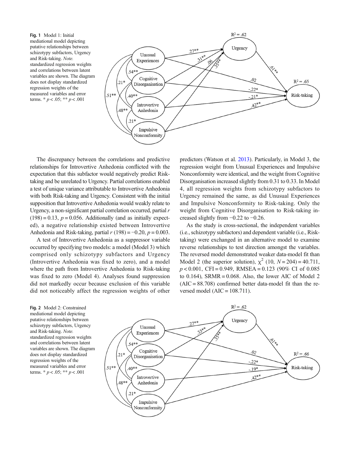<span id="page-7-0"></span>Fig. 1 Model 1: Initial mediational model depicting putative relationships between schizotypy subfactors, Urgency and Risk-taking. Note. standardized regression weights and correlations between latent variables are shown. The diagram does not display standardized regression weights of the measured variables and error terms.  $* p < .05; ** p < .001$ 



The discrepancy between the correlations and predictive relationships for Introvertive Anhedonia conflicted with the expectation that this subfactor would negatively predict Risktaking and be unrelated to Urgency. Partial correlations enabled a test of unique variance attributable to Introvertive Anhedonia with both Risk-taking and Urgency. Consistent with the initial supposition that Introvertive Anhedonia would weakly relate to Urgency, a non-significant partial correlation occurred, partial r  $(198) = 0.13$ ,  $p = 0.056$ . Additionally (and as initially expected), a negative relationship existed between Introvertive Anhedonia and Risk-taking, partial  $r(198) = -0.20$ ,  $p = 0.003$ .

A test of Introvertive Anhedonia as a suppressor variable occurred by specifying two models: a model (Model 3) which comprised only schizotypy subfactors and Urgency (Introvertive Anhedonia was fixed to zero), and a model where the path from Introvertive Anhedonia to Risk-taking was fixed to zero (Model 4). Analyses found suppression did not markedly occur because exclusion of this variable did not noticeably affect the regression weights of other predictors (Watson et al. [2013\)](#page-12-0). Particularly, in Model 3, the regression weight from Unusual Experiences and Impulsive Nonconformity were identical, and the weight from Cognitive Disorganisation increased slightly from 0.31 to 0.33. In Model 4, all regression weights from schizotypy subfactors to Urgency remained the same, as did Unusual Experiences and Impulsive Nonconformity to Risk-taking. Only the weight from Cognitive Disorganisation to Risk-taking increased slightly from  $-0.22$  to  $-0.26$ .

As the study is cross-sectional, the independent variables (i.e., schizotypy subfactors) and dependent variable (i.e., Risktaking) were exchanged in an alternative model to examine reverse relationships to test direction amongst the variables. The reversed model demonstrated weaker data-model fit than Model 2 (the superior solution),  $\chi^2$  (10,  $N = 204$ ) = 40.711,  $p < 0.001$ , CFI = 0.949, RMSEA = 0.123 (90% CI of 0.085) to  $0.164$ ), SRMR = 0.068. Also, the lower AIC of Model 2  $(AIC = 88.708)$  confirmed better data-model fit than the reversed model ( $AIC = 108.711$ ).

Fig. 2 Model 2: Constrained mediational model depicting putative relationships between schizotypy subfactors, Urgency and Risk-taking. Note. standardized regression weights and correlations between latent variables are shown. The diagram does not display standardized regression weights of the measured variables and error terms.  $* p < .05; ** p < .001$ 

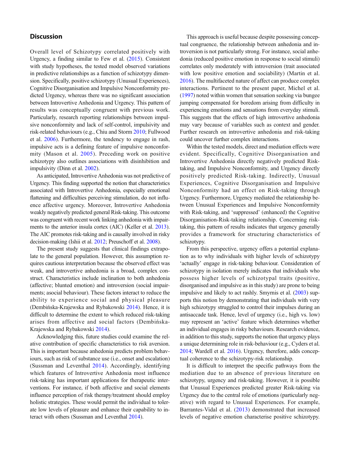## **Discussion**

Overall level of Schizotypy correlated positively with Urgency, a finding similar to Few et al. [\(2015\)](#page-11-0). Consistent with study hypotheses, the tested model observed variations in predictive relationships as a function of schizotypy dimension. Specifically, positive schizotypy (Unusual Experiences), Cognitive Disorganisation and Impulsive Nonconformity predicted Urgency, whereas there was no significant association between Introvertive Anhedonia and Urgency. This pattern of results was conceptually congruent with previous work. Particularly, research reporting relationships between impulsive nonconformity and lack of self-control, impulsivity and risk-related behaviours (e.g., Chiu and Storm [2010;](#page-10-0) Fullwood et al. [2006](#page-11-0)). Furthermore, the tendency to engage in rash, impulsive acts is a defining feature of impulsive nonconformity (Mason et al. [2005](#page-11-0)). Preceding work on positive schizotypy also outlines associations with disinhibition and impulsivity (Dinn et al. [2002](#page-11-0)).

As anticipated, Introvertive Anhedonia was not predictive of Urgency. This finding supported the notion that characteristics associated with Introvertive Anhedonia, especially emotional flattening and difficulties perceiving stimulation, do not influence affective urgency. Moreover, Introvertive Anhedonia weakly negatively predicted general Risk-taking. This outcome was congruent with recent work linking anhedonia with impairments to the anterior insula cortex (AIC) (Keller et al. [2013\)](#page-11-0). The AIC promotes risk-taking and is causally involved in risky decision-making (Ishii et al. [2012;](#page-11-0) Preuschoff et al. [2008\)](#page-12-0).

The present study suggests that clinical findings extrapolate to the general population. However, this assumption requires cautious interpretation because the observed effect was weak, and introvertive anhedonia is a broad, complex construct. Characteristics include inclination to both anhedonia (affective; blunted emotion) and introversion (social impairments; asocial behaviour). These factors interact to reduce the ability to experience social and physical pleasure (Dembińska-Krajewska and Rybakowski [2014\)](#page-11-0). Hence, it is difficult to determine the extent to which reduced risk-taking arises from affective and social factors (Dembińska-Krajewska and Rybakowski [2014](#page-11-0)).

Acknowledging this, future studies could examine the relative contribution of specific characteristics to risk aversion. This is important because anhedonia predicts problem behaviours, such as risk of substance use (i.e., onset and escalation) (Sussman and Leventhal [2014\)](#page-12-0). Accordingly, identifying which features of Introvertive Anhedonia most influence risk-taking has important applications for therapeutic interventions. For instance, if both affective and social elements influence perception of risk therapy/treatment should employ holistic strategies. These would permit the individual to tolerate low levels of pleasure and enhance their capability to interact with others (Sussman and Leventhal [2014\)](#page-12-0).

This approach is useful because despite possessing conceptual congruence, the relationship between anhedonia and introversion is not particularly strong. For instance, social anhedonia (reduced positive emotion in response to social stimuli) correlates only moderately with introversion (trait associated with low positive emotion and sociability) (Martin et al. [2016\)](#page-11-0). The multifaceted nature of affect can produce complex interactions. Pertinent to the present paper, Michel et al. [\(1997\)](#page-12-0) noted within women that sensation seeking via bungee jumping compensated for boredom arising from difficulty in experiencing emotions and sensations from everyday stimuli. This suggests that the effects of high introvertive anhedonia may vary because of variables such as context and gender. Further research on introvertive anhedonia and risk-taking could uncover further complex interactions.

Within the tested models, direct and mediation effects were evident. Specifically, Cognitive Disorganisation and Introvertive Anhedonia directly negatively predicted Risktaking, and Impulsive Nonconformity, and Urgency directly positively predicted Risk-taking. Indirectly, Unusual Experiences, Cognitive Disorganisation and Impulsive Nonconformity had an effect on Risk-taking through Urgency. Furthermore, Urgency mediated the relationship between Unusual Experiences and Impulsive Nonconformity with Risk-taking, and 'suppressed' (enhanced) the Cognitive Disorganisation-Risk-taking relationship. Concerning risktaking, this pattern of results indicates that urgency generally provides a framework for structuring characteristics of schizotypy.

From this perspective, urgency offers a potential explanation as to why individuals with higher levels of schizotypy 'actually' engage in risk-taking behaviour. Consideration of schizotypy in isolation merely indicates that individuals who possess higher levels of schizotypal traits (positive, disorganised and impulsive as in this study) are prone to being impulsive and likely to act rashly. Smyrnis et al. ([2003](#page-12-0)) supports this notion by demonstrating that individuals with very high schizotypy struggled to control their impulses during an antisaccade task. Hence, level of urgency (i.e., high vs. low) may represent an 'active' feature which determines whether an individual engages in risky behaviours. Research evidence, in addition to this study, supports the notion that urgency plays a unique determining role in risk-behaviour (e.g., Cyders et al. [2014;](#page-11-0) Wardell et al. [2016](#page-12-0)). Urgency, therefore, adds conceptual coherence to the schizotypy-risk relationship.

It is difficult to interpret the specific pathways from the mediation due to an absence of previous literature on schizotypy, urgency and risk-taking. However, it is possible that Unusual Experiences predicted greater Risk-taking via Urgency due to the central role of emotions (particularly negative) with regard to Unusual Experiences. For example, Barrantes-Vidal et al. ([2013](#page-10-0)) demonstrated that increased levels of negative emotion characterise positive schizotypy.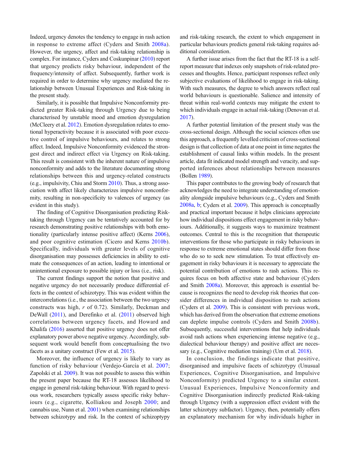Indeed, urgency denotes the tendency to engage in rash action in response to extreme affect (Cyders and Smith [2008a](#page-10-0)). However, the urgency, affect and risk-taking relationship is complex. For instance, Cyders and Coskunpinar [\(2010\)](#page-10-0) report that urgency predicts risky behaviour, independent of the frequency/intensity of affect. Subsequently, further work is required in order to determine why urgency mediated the relationship between Unusual Experiences and Risk-taking in the present study.

Similarly, it is possible that Impulsive Nonconformity predicted greater Risk-taking through Urgency due to being characterised by unstable mood and emotion dysregulation (McCleery et al. [2012\)](#page-11-0). Emotion dysregulation relates to emotional hyperactivity because it is associated with poor executive control of impulsive behaviours, and relates to strong affect. Indeed, Impulsive Nonconformity evidenced the strongest direct and indirect effect via Urgency on Risk-taking. This result is consistent with the inherent nature of impulsive nonconformity and adds to the literature documenting strong relationships between this and urgency-related constructs (e.g., impulsivity, Chiu and Storm [2010](#page-10-0)). Thus, a strong association with affect likely characterizes impulsive nonconformity, resulting in non-specificity to valences of urgency (as evident in this study).

The finding of Cognitive Disorganisation predicting Risktaking through Urgency can be tentatively accounted for by research demonstrating positive relationships with both emotionality (particularly intense positive affect) (Kerns [2006](#page-11-0)), and poor cognitive estimation (Cicero and Kerns [2010b](#page-10-0)). Specifically, individuals with greater levels of cognitive disorganisation may possesses deficiencies in ability to estimate the consequences of an action, leading to intentional or unintentional exposure to possible injury or loss (i.e., risk).

The current findings support the notion that positive and negative urgency do not necessarily produce differential effects in the context of schizotypy. This was evident within the intercorrelations (i.e., the association between the two urgency constructs was high, r of 0.72). Similarly, Deckman and DeWall ([2011](#page-11-0)), and Derefinko et al. ([2011](#page-11-0)) observed high correlations between urgency facets, and Howard and Khalifa [\(2016\)](#page-11-0) asserted that positive urgency does not offer explanatory power above negative urgency. Accordingly, subsequent work would benefit from conceptualising the two facets as a unitary construct (Few et al. [2015](#page-11-0)).

Moreover, the influence of urgency is likely to vary as function of risky behaviour (Verdejo-García et al. [2007](#page-12-0); Zapolski et al. [2009](#page-12-0)). It was not possible to assess this within the present paper because the RT-18 assesses likelihood to engage in general risk-taking behaviour. With regard to previous work, researchers typically assess specific risky behaviours (e.g., cigarette, Kolliakou and Joseph [2000;](#page-11-0) and cannabis use, Nunn et al. [2001](#page-12-0)) when examining relationships between schizotypy and risk. In the context of schizoptypy and risk-taking research, the extent to which engagement in particular behaviours predicts general risk-taking requires additional consideration.

A further issue arises from the fact that the RT-18 is a selfreport measure that indexes only snapshots of risk-related processes and thoughts. Hence, participant responses reflect only subjective evaluations of likelihood to engage in risk-taking. With such measures, the degree to which answers reflect real world behaviours is questionable. Salience and intensity of threat within real-world contexts may mitigate the extent to which individuals engage in actual risk-taking (Denovan et al. [2017\)](#page-11-0).

A further potential limitation of the present study was the cross-sectional design. Although the social sciences often use this approach, a frequently levelled criticism of cross-sectional design is that collection of data at one point in time negates the establishment of causal links within models. In the present article, data fit indicated model strength and veracity, and supported inferences about relationships between measures (Bollen [1989](#page-10-0)).

This paper contributes to the growing body of research that acknowledges the need to integrate understanding of emotionality alongside impulsive behaviours (e.g., Cyders and Smith [2008a,](#page-10-0) [b](#page-10-0); Cyders et al. [2009](#page-10-0)). This approach is conceptually and practical important because it helps clinicians appreciate how individual dispositions effect engagement in risky behaviours. Additionally, it suggests ways to maximize treatment outcomes. Central to this is the recognition that therapeutic interventions for those who participate in risky behaviours in response to extreme emotional states should differ from those who do so to seek new stimulation. To treat effectively engagement in risky behaviours it is necessary to appreciate the potential contribution of emotions to rash actions. This requires focus on both affective state and behaviour (Cyders and Smith [2008a\)](#page-10-0). Moreover, this approach is essential because is recognizes the need to develop risk theories that consider differences in individual disposition to rash actions (Cyders et al. [2009\)](#page-10-0). This is consistent with previous work, which has derived from the observation that extreme emotions can deplete impulse controls (Cyders and Smith [2008b](#page-10-0)). Subsequently, successful interventions that help individuals avoid rash actions when experiencing intense negative (e.g., dialectical behaviour therapy) and positive affect are necessary (e.g., Cognitive mediation training) (Um et al. [2018](#page-12-0)).

In conclusion, the findings indicate that positive, disorganised and impulsive facets of schizotypy (Unusual Experiences, Cognitive Disorganisation, and Impulsive Nonconformity) predicted Urgency to a similar extent. Unusual Experiences, Impulsive Nonconformity and Cognitive Disorganisation indirectly predicted Risk-taking through Urgency (with a suppression effect evident with the latter schizotypy subfactor). Urgency, then, potentially offers an explanatory mechanism for why individuals higher in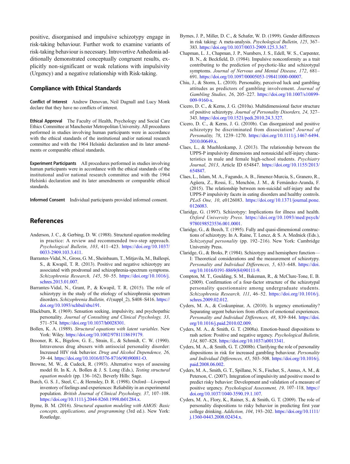<span id="page-10-0"></span>positive, disorganised and impulsive schizotypy engage in risk-taking behaviour. Further work to examine variants of risk-taking behaviour is necessary. Introvertive Anhedonia additionally demonstrated conceptually congruent results, explicitly non-significant or weak relations with impulsivity (Urgency) and a negative relationship with Risk-taking.

#### Compliance with Ethical Standards

Conflict of Interest Andrew Denovan, Neil Dagnall and Lucy Monk declare that they have no conflicts of interest.

Ethical Approval The Faculty of Health, Psychology and Social Care Ethics Committee at Manchester Metropolitan University. All procedures performed in studies involving human participants were in accordance with the ethical standards of the institutional and/or national research committee and with the 1964 Helsinki declaration and its later amendments or comparable ethical standards.

Experiment Participants All procedures performed in studies involving human participants were in accordance with the ethical standards of the institutional and/or national research committee and with the 1964 Helsinki declaration and its later amendments or comparable ethical standards.

Informed Consent Individual participants provided informed consent.

#### References

- Anderson, J. C., & Gerbing, D. W. (1988). Structural equation modeling in practice: A review and recommended two-step approach. Psychological Bulletin, 103, 411–423. [https://doi.org/10.1037/](https://doi.org/10.1037/0033-2909.103.3.411) [0033-2909.103.3.411](https://doi.org/10.1037/0033-2909.103.3.411).
- Barrantes-Vidal, N., Gross, G. M., Sheinbaum, T., Mitjavila, M., Ballespí, S., & Kwapil, T. R. (2013). Positive and negative schizotypy are associated with prodromal and schizophrenia-spectrum symptoms. Schizophrenia Research, 145, 50–55. [https://doi.org/10.1016/j.](https://doi.org/10.1016/j.schres.2013.01.007) [schres.2013.01.007.](https://doi.org/10.1016/j.schres.2013.01.007)
- Barrantes-Vidal, N., Grant, P., & Kwapil, T. R. (2015). The role of schizotypy in the study of the etiology of schizophrenia spectrum disorders. Schizophrenia Bulletin, 41(suppl\_2), S408-S416. [https://](https://doi.org/10.1093/schbul/sbu191) [doi.org/10.1093/schbul/sbu191.](https://doi.org/10.1093/schbul/sbu191)
- Blackburn, R. (1969). Sensation seeking, impulsivity, and psychopathic personality. Journal of Consulting and Clinical Psychology, 33, 571–574. <https://doi.org/10.1037/h0028301>.
- Bollen, K. A. (1989). Structural equations with latent variables. New York: Wiley. <https://doi.org/10.1002/9781118619179>.
- Brooner, R. K., Bigelow, G. E., Strain, E., & Schmidt, C. W. (1990). Intravenous drug abusers with antisocial personality disorder: Increased HIV risk behavior. Drug and Alcohol Dependence, 26, 39–44. [https://doi.org/10.1016/0376-8716\(90\)90081-O](https://doi.org/10.1016/0376-8716(90)90081-O).
- Browne, M. W., & Cudeck, R. (1993). Alternative ways of assessing model fit. In K. A. Bollen & J. S. Long (Eds.), Testing structural equation models (pp. 136–162). Beverly Hills: Sage.
- Burch, G. S. J., Steel, C., & Hemsley, D. R. (1998). Oxford—Liverpool inventory of feelings and experiences: Reliability in an experimental population. British Journal of Clinical Psychology, 37, 107–108. [https://doi.org/10.1111/j.2044-8260.1998.tb01284.x.](https://doi.org/10.1111/j.2044-8260.1998.tb01284.x)
- Byrne, B. M. (2016). Structural equation modeling with AMOS: Basic concepts, applications, and programming (3rd ed.). New York: Routledge.
- Byrnes, J. P., Miller, D. C., & Schafer, W. D. (1999). Gender differences in risk taking: A meta-analysis. Psychological Bulletin, 125, 367– 383. <https://doi.org/10.1037/0033-2909.125.3.367>.
- Chapman, L. J., Chapman, J. P., Numbers, J. S., Edell, W. S., Carpenter, B. N., & Beckfield, D. (1984). Impulsive nonconformity as a trait contributing to the prediction of psychotic-like and schizotypal symptoms. Journal of Nervous and Mental Disease, 172, 681– 691. [https://doi.org/10.1097/00005053-198411000-00007.](https://doi.org/10.1097/00005053-198411000-00007)
- Chiu, J., & Storm, L. (2010). Personality, perceived luck and gambling attitudes as predictors of gambling involvement. Journal of Gambling Studies, 26, 205–227. [https://doi.org/10.1007/s10899-](https://doi.org/10.1007/s10899-009-9160-x) [009-9160-x](https://doi.org/10.1007/s10899-009-9160-x).
- Cicero, D. C., & Kerns, J. G. (2010a). Multidimensional factor structure of positive schizotypy. Journal of Personality Disorders, 24, 327– 343. <https://doi.org/10.1521/pedi.2010.24.3.327>.
- Cicero, D. C., & Kerns, J. G. (2010b). Can disorganized and positive schizotypy be discriminated from dissociation? Journal of Personality, 78, 1239–1270. [https://doi.org/10.1111/j.1467-6494.](https://doi.org/10.1111/j.1467-6494.2010.00649.x) [2010.00649.x](https://doi.org/10.1111/j.1467-6494.2010.00649.x).
- Claes, L., & Muehlenkamp, J. (2013). The relationship between the UPPS-P impulsivity dimensions and nonsuicidal self-injury characteristics in male and female high-school students. Psychiatry Journal, 2013, Article ID 654847. [https://doi.org/10.1155/2013/](https://doi.org/10.1155/2013/654847) [654847.](https://doi.org/10.1155/2013/654847)
- Claes, L., Islam, M. A., Fagundo, A. B., Jimenez-Murcia, S., Granero, R., Agüera, Z., Rossi, E., Menchón, J. M., & Fernández-Aranda, F. (2015). The relationship between non-suicidal self-injury and the UPPS-P impulsivity facets in eating disorders and healthy controls. PLoS One, 10, e0126083. [https://doi.org/10.1371/journal.pone.](https://doi.org/10.1371/journal.pone.0126083) [0126083](https://doi.org/10.1371/journal.pone.0126083).
- Claridge, G. (1997). Schizotypy: Implications for illness and health. Oxford University Press. [https://doi.org/10.1093/med:psych/](https://doi.org/10.1093/med:psych/9780198523536.001.0001) [9780198523536.001.0001.](https://doi.org/10.1093/med:psych/9780198523536.001.0001)
- Claridge, G., & Beech, T. (1995). Fully and quasi-dimensional constructions of schizotypy. In A. Raine, T. Lencz, & S. A. Mednick (Eds.), Schizotypal personality (pp. 192–216). New York: Cambridge University Press.
- Claridge, G., & Broks, P. (1984). Schizotypy and hemisphere function— I: Theoretical considerations and the measurement of schizotypy. Personality and Individual Differences, 5, 633–648. [https://doi.](https://doi.org/10.1016/0191-8869(84)90111-9) [org/10.1016/0191-8869\(84\)90111-9](https://doi.org/10.1016/0191-8869(84)90111-9).
- Compton, M. T., Goulding, S. M., Bakeman, R., & McClure-Tone, E. B. (2009). Confirmation of a four-factor structure of the schizotypal personality questionnaire among undergraduate students. Schizophrenia Research, 111, 46–52. [https://doi.org/10.1016/j.](https://doi.org/10.1016/j.schres.2009.02.012) [schres.2009.02.012.](https://doi.org/10.1016/j.schres.2009.02.012)
- Cyders, M. A., & Coskunpinar, A. (2010). Is urgency emotionality? Separating urgent behaviors from effects of emotional experiences. Personality and Individual Differences, 48, 839-844. [https://doi.](https://doi.org/10.1016/j.paid.2010.02.009) [org/10.1016/j.paid.2010.02.009.](https://doi.org/10.1016/j.paid.2010.02.009)
- Cyders, M. A., & Smith, G. T. (2008a). Emotion-based dispositions to rash action: Positive and negative urgency. Psychological Bulletin, 134, 807–828. [https://doi.org/10.1037/a0013341.](https://doi.org/10.1037/a0013341)
- Cyders, M. A., & Smith, G. T. (2008b). Clarifying the role of personality dispositions in risk for increased gambling behaviour. Personality and Individual Differences, 45, 503–508. [https://doi.org/10.1016/j.](https://doi.org/10.1016/j.paid.2008.06.002) [paid.2008.06.002](https://doi.org/10.1016/j.paid.2008.06.002).
- Cyders, M. A., Smith, G. T., Spillane, N. S., Fischer, S., Annus, A. M., & Peterson, C. (2007). Integration of impulsivity and positive mood to predict risky behavior: Development and validation of a measure of positive urgency. Psychological Assessment, 19, 107–118. [https://](https://doi.org/10.1037/1040-3590.19.1.107) [doi.org/10.1037/1040-3590.19.1.107](https://doi.org/10.1037/1040-3590.19.1.107).
- Cyders, M. A., Flory, K., Rainer, S., & Smith, G. T. (2009). The role of personality dispositions to risky behavior in predicting first year college drinking. Addiction, 104, 193–202. [https://doi.org/10.1111/](https://doi.org/10.1111/j.1360-0443.2008.02434.x) [j.1360-0443.2008.02434.x](https://doi.org/10.1111/j.1360-0443.2008.02434.x).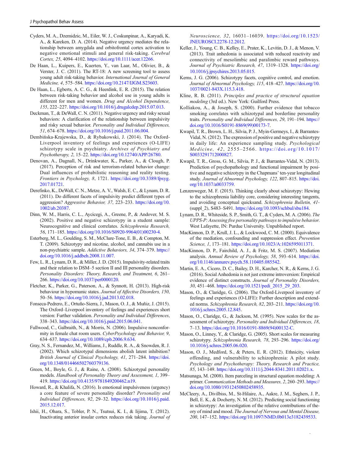- <span id="page-11-0"></span>Cyders, M. A., Dzemidzic, M., Eiler, W. J., Coskunpinar, A., Karyadi, K. A., & Kareken, D. A. (2014). Negative urgency mediates the relationship between amygdala and orbitofrontal cortex activation to negative emotional stimuli and general risk-taking. Cerebral Cortex, 25, 4094–4102. <https://doi.org/10.1111/acer.12266>.
- De Haan, L., Kuipers, E., Kuerten, Y., van Laar, M., Olivier, B., & Verster, J. C. (2011). The RT-18: A new screening tool to assess young adult risk-taking behavior. International Journal of General Medicine, 4, 575–584. [https://doi.org/10.2147/IJGM.S23603.](https://doi.org/10.2147/IJGM.S23603)
- De Haan, L., Egberts, A. C. G., & Heerdink, E. R. (2015). The relation between risk-taking behavior and alcohol use in young adults is different for men and women. Drug and Alcohol Dependence, 155, 222–227. [https://doi.org/10.1016/j.drugalcdep.2015.07.013.](https://doi.org/10.1016/j.drugalcdep.2015.07.013)
- Deckman, T., & DeWall, C. N. (2011). Negative urgency and risky sexual behaviors: A clarification of the relationship between impulsivity and risky sexual behavior. Personality and Individual Differences, 51, 674–678. <https://doi.org/10.1016/j.paid.2011.06.004>.
- Dembińska-Krajewska, D., & Rybakowski, J. (2014). The Oxford-Liverpool inventory of feelings and experiences (O-LIFE) schizotypy scale in psychiatry. Archives of Psychiatry and Psychotherapy, 2, 15–22. <https://doi.org/10.12740/APP/26780>.
- Denovan, A., Dagnall, N., Drinkwater, K., Parker, A., & Clough, P. (2017). Perception of risk and terrorism-related behavior change: Dual influences of probabilistic reasoning and reality testing. Frontiers in Psychology, 8, 1721. [https://doi.org/10.3389/fpsyg.](https://doi.org/10.3389/fpsyg.2017.01721) [2017.01721](https://doi.org/10.3389/fpsyg.2017.01721).
- Derefinko, K., DeWall, C. N., Metze, A. V., Walsh, E. C., & Lynam, D. R. (2011). Do different facets of impulsivity predict different types of aggression? Aggressive Behavior, 37, 223–233. [https://doi.org/10.](https://doi.org/10.1002/ab.20387) [1002/ab.20387](https://doi.org/10.1002/ab.20387).
- Dinn, W. M., Harris, C. L., Aycicegi, A., Greene, P., & Andover, M. S. (2002). Positive and negative schizotypy in a student sample: Neurocognitive and clinical correlates. Schizophrenia Research, 56, 171–185. [https://doi.org/10.1016/S0920-9964\(01\)00230-4](https://doi.org/10.1016/S0920-9964(01)00230-4).
- Esterberg, M. L., Goulding, S. M., McClure-Tone, E. B., & Compton, M. T. (2009). Schizotypy and nicotine, alcohol, and cannabis use in a non-psychiatric sample. Addictive Behaviors, 34, 374–379. [https://](https://doi.org/10.1016/j.addbeh.2008.11.007) [doi.org/10.1016/j.addbeh.2008.11.007](https://doi.org/10.1016/j.addbeh.2008.11.007).
- Few, L. R., Lynam, D. R., & Miller, J. D. (2015). Impulsivity-related traits and their relation to DSM–5 section II and III personality disorders. Personality Disorders: Theory, Research, and Treatment, 6, 261– 266. [https://doi.org/10.1037/per0000120.](https://doi.org/10.1037/per0000120)
- Fletcher, K., Parker, G., Paterson, A., & Synnott, H. (2013). High-risk behaviour in hypomanic states. Journal of Affective Disorders, 150, 50–56. <https://doi.org/10.1016/j.jad.2013.02.018>.
- Fonseca-Pedrero, E., Ortuño-Sierra, J., Mason, O. J., & Muñiz, J. (2015). The Oxford–Liverpool inventory of feelings and experiences short version: Further validation. Personality and Individual Differences, 338–343. [https://doi.org/10.1016/j.paid.2015.06.041.](https://doi.org/10.1016/j.paid.2015.06.041)
- Fullwood, C., Galbraith, N., & Morris, N. (2006). Impulsive nonconformity in female chat room users. CyberPsychology and Behavior, 9, 634–637. <https://doi.org/10.1089/cpb.2006.9.634>.
- Gray, N. S., Fernandez, M., Williams, J., Ruddle, R. A., & Snowden, R. J. (2002). Which schizotypal dimensions abolish latent inhibition? British Journal of Clinical Psychology, 41, 271–284. [https://doi.](https://doi.org/10.1348/014466502760379136) [org/10.1348/014466502760379136](https://doi.org/10.1348/014466502760379136).
- Green, M., Boyle, G. J., & Raine, A. (2008). Schizotypal personality models. Handbook of Personality Theory and Assessment, 1, 399– 419. [https://doi.org/10.4135/9781849200462.n19.](https://doi.org/10.4135/9781849200462.n19)
- Howard, R., & Khalifa, N. (2016). Is emotional impulsiveness (urgency) a core feature of severe personality disorder? Personality and Individual Differences, 92, 29–32. [https://doi.org/10.1016/j.paid.](https://doi.org/10.1016/j.paid.2015.12.017) [2015.12.017](https://doi.org/10.1016/j.paid.2015.12.017).
- Ishii, H., Ohara, S., Tobler, P. N., Tsutsui, K. I., & Iijima, T. (2012). Inactivating anterior insular cortex reduces risk taking. Journal of

Neuroscience, 32, 16031–16039. [https://doi.org/10.1523/](https://doi.org/10.1523/JNEUROSCI.2278-12.2012) [JNEUROSCI.2278-12.2012.](https://doi.org/10.1523/JNEUROSCI.2278-12.2012)

- Keller, J., Young, C. B., Kelley, E., Prater, K., Levitin, D. J., & Menon, V. (2013). Trait anhedonia is associated with reduced reactivity and connectivity of mesolimbic and paralimbic reward pathways. Journal of Psychiatric Research, 47, 1319–1328. [https://doi.org/](https://doi.org/10.1016/j.jpsychires.2013.05.015) [10.1016/j.jpsychires.2013.05.015.](https://doi.org/10.1016/j.jpsychires.2013.05.015)
- Kerns, J. G. (2006). Schizotypy facets, cognitive control, and emotion. Journal of Abnormal Psychology, 115, 418–427. [https://doi.org/10.](https://doi.org/10.1037/0021-843X.115.3.418) [1037/0021-843X.115.3.418](https://doi.org/10.1037/0021-843X.115.3.418).
- Kline, R. B. (2011). Principles and practice of structural equation modeling (3rd ed.). New York: Guilford Press.
- Kolliakou, A., & Joseph, S. (2000). Further evidence that tobacco smoking correlates with schizotypal and borderline personality traits. Personality and Individual Differences, 29, 191–194. [https://](https://doi.org/10.1016/S0191-8869(99)00173-7) [doi.org/10.1016/S0191-8869\(99\)00173-7.](https://doi.org/10.1016/S0191-8869(99)00173-7)
- Kwapil, T. R., Brown, L. H., Silvia, P. J., Myin-Germeys, I., & Barrantes-Vidal, N. (2012). The expression of positive and negative schizotypy in daily life: An experience sampling study. Psychological Medicine, 42, 2555–2566. [https://doi.org/10.1017/](https://doi.org/10.1017/S0033291712000827) [S0033291712000827.](https://doi.org/10.1017/S0033291712000827)
- Kwapil, T. R., Gross, G. M., Silvia, P. J., & Barrantes-Vidal, N. (2013). Prediction of psychopathology and functional impairment by positive and negative schizotypy in the Chapmans' ten-year longitudinal study. Journal of Abnormal Psychology, 122, 807–815. [https://doi.](https://doi.org/10.1037/a0033759) [org/10.1037/a0033759.](https://doi.org/10.1037/a0033759)
- Lenzenweger, M. F. (2015). Thinking clearly about schizotypy: Hewing to the schizophrenia liability core, considering interesting tangents, and avoiding conceptual quicksand. Schizophrenia Bulletin, 41- (suppl\_2), S483–S491. <https://doi.org/10.1093/schbul/sbu184>.
- Lynam, D. R., Whiteside, S. P., Smith, G. T., & Cyders, M. A. (2006). The UPPS-P: Assessing five personality pathways to impulsive behavior. West Lafayette, IN: Purdue University. Unpublished report.
- MacKinnon, D. P., Krull, J. L., & Lockwood, C. M. (2000). Equivalence of the mediation, confounding and suppression effect. Prevention Science, 1, 173-181. [https://doi.org/10.1023/A:1026595011371.](https://doi.org/10.1023/A:1026595011371)
- MacKinnon, D. P., Fairchild, A. J., & Fritz, M. S. (2007). Mediation analysis. Annual Review of Psychology, 58, 593–614. [https://doi.](https://doi.org/10.1146/annurev.psych.58.110405.085542) [org/10.1146/annurev.psych.58.110405.085542.](https://doi.org/10.1146/annurev.psych.58.110405.085542)
- Martin, E. A., Cicero, D. C., Bailey, D. H., Karcher, N. R., & Kerns, J. G. (2016). Social Anhedonia is not just extreme introversion: Empirical evidence of distinct constructs. Journal of Personality Disorders, 30, 451–468. [https://doi.org/10.1521/pedi\\_2015\\_29\\_203.](https://doi.org/10.1521/pedi_2015_29_203)
- Mason, O., & Claridge, G. (2006). The Oxford-Liverpool inventory of feelings and experiences (O-LIFE): Further description and extended norms. Schizophrenia Research, 82, 203–211. [https://doi.org/10.](https://doi.org/10.1016/j.schres.2005.12.845) [1016/j.schres.2005.12.845.](https://doi.org/10.1016/j.schres.2005.12.845)
- Mason, O., Claridge, G., & Jackson, M. (1995). New scales for the assessment of schizotypy. Personality and Individual Differences, 18, 7–13. [https://doi.org/10.1016/0191-8869\(94\)00132-C.](https://doi.org/10.1016/0191-8869(94)00132-C)
- Mason, O., Linney, Y., & Claridge, G. (2005). Short scales for measuring schizotypy. Schizophrenia Research, 78, 293-296. [https://doi.org/](https://doi.org/10.1016/j.schres.2005.06.020) [10.1016/j.schres.2005.06.020.](https://doi.org/10.1016/j.schres.2005.06.020)
- Mason, O. J., Medford, S., & Peters, E. R. (2012). Ethnicity, violent offending, and vulnerability to schizophrenia: A pilot study. Psychology and Psychotherapy: Theory, Research and Practice, 85, 143–149. <https://doi.org/10.1111/j.2044-8341.2011.02021.x>.
- Matsunaga, M. (2008). Item parceling in structural equation modeling: A primer. Communication Methods and Measures, 2, 260–293. [https://](https://doi.org/10.1080/19312450802458935) [doi.org/10.1080/19312450802458935.](https://doi.org/10.1080/19312450802458935)
- McCleery, A., Divilbiss, M., St-Hilaire, A., Aakre, J. M., Seghers, J. P., Bell, E. K., & Docherty, N. M. (2012). Predicting social functioning in schizotypy: An investigation of the relative contributions of theory of mind and mood. The Journal of Nervous and Mental Disease, 200, 147–152. [https://doi.org/10.1097/NMD.0b013e3182439533.](https://doi.org/10.1097/NMD.0b013e3182439533)